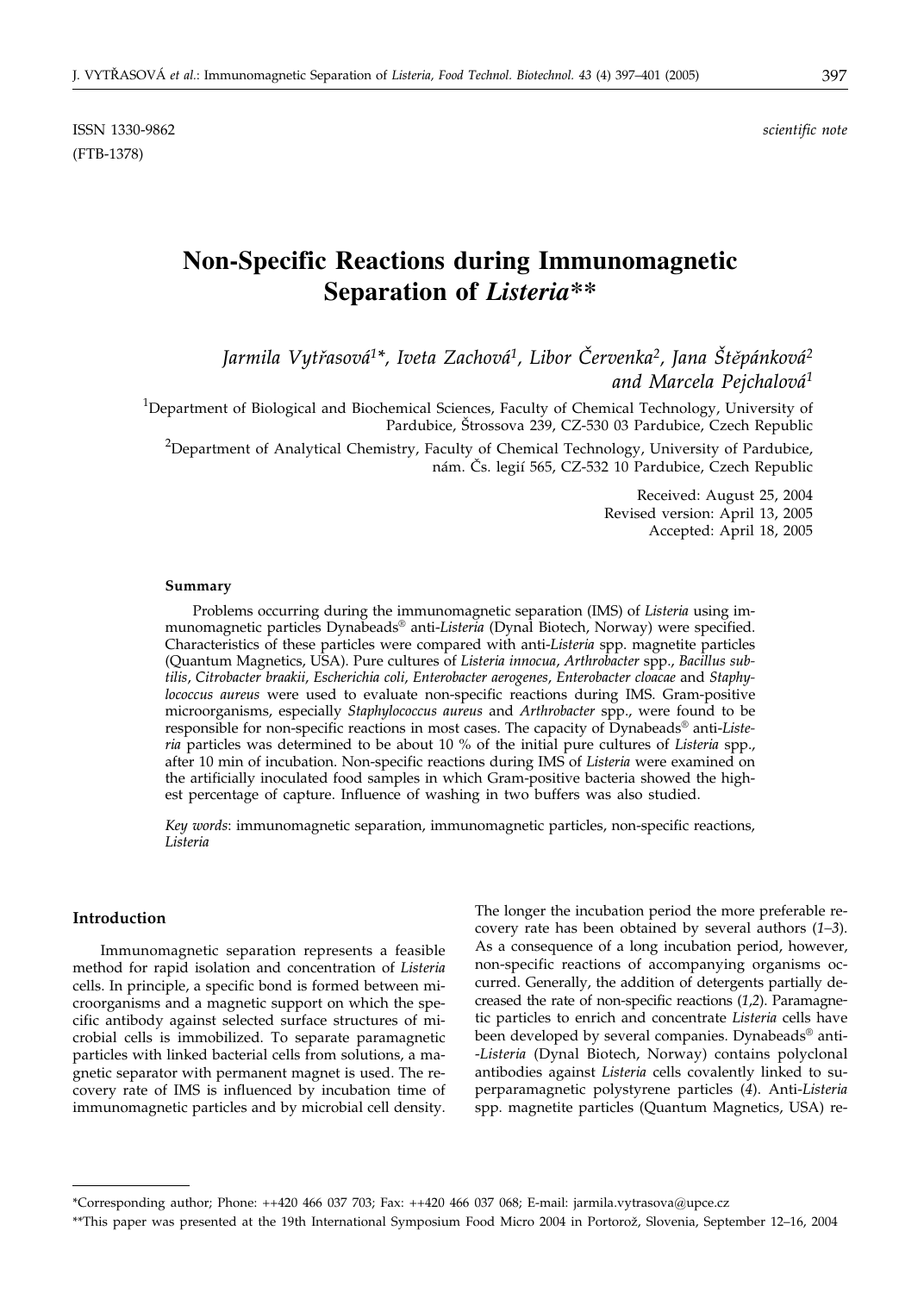ISSN 1330-9862 *scientific note* (FTB-1378)

# **Non-Specific Reactions during Immunomagnetic Separation of** *Listeria\*\**

*Jarmila Vytøasová1\*, Iveta Zachová1, Libor ^ervenka2, Jana [tìpánková2 and Marcela Pejchalová1*

<sup>1</sup>Department of Biological and Biochemical Sciences, Faculty of Chemical Technology, University of Pardubice, Štrossova 239, CZ-530 03 Pardubice, Czech Republic

 $^{2}$ Department of Analytical Chemistry, Faculty of Chemical Technology, University of Pardubice, nám. Čs. legií 565, CZ-532 10 Pardubice, Czech Republic

> Received: August 25, 2004 Revised version: April 13, 2005 Accepted: April 18, 2005

#### **Summary**

Problems occurring during the immunomagnetic separation (IMS) of *Listeria* using immunomagnetic particles Dynabeads® anti-*Listeria* (Dynal Biotech, Norway) were specified. Characteristics of these particles were compared with anti-*Listeria* spp. magnetite particles (Quantum Magnetics, USA). Pure cultures of *Listeria innocua*, *Arthrobacter* spp., *Bacillus subtilis*, *Citrobacter braakii*, *Escherichia coli*, *Enterobacter aerogenes*, *Enterobacter cloacae* and *Staphylococcus aureus* were used to evaluate non-specific reactions during IMS. Gram-positive microorganisms, especially *Staphylococcus aureus* and *Arthrobacter* spp., were found to be responsible for non-specific reactions in most cases. The capacity of Dynabeads® anti-*Listeria* particles was determined to be about 10 % of the initial pure cultures of *Listeria* spp., after 10 min of incubation. Non-specific reactions during IMS of *Listeria* were examined on the artificially inoculated food samples in which Gram-positive bacteria showed the highest percentage of capture. Influence of washing in two buffers was also studied.

*Key words*: immunomagnetic separation, immunomagnetic particles, non-specific reactions, *Listeria*

## **Introduction**

Immunomagnetic separation represents a feasible method for rapid isolation and concentration of *Listeria* cells. In principle, a specific bond is formed between microorganisms and a magnetic support on which the specific antibody against selected surface structures of microbial cells is immobilized. To separate paramagnetic particles with linked bacterial cells from solutions, a magnetic separator with permanent magnet is used. The recovery rate of IMS is influenced by incubation time of immunomagnetic particles and by microbial cell density.

The longer the incubation period the more preferable recovery rate has been obtained by several authors (*1–3*). As a consequence of a long incubation period, however, non-specific reactions of accompanying organisms occurred. Generally, the addition of detergents partially decreased the rate of non-specific reactions (*1*,*2*). Paramagnetic particles to enrich and concentrate *Listeria* cells have been developed by several companies. Dynabeads® anti- -*Listeria* (Dynal Biotech, Norway) contains polyclonal antibodies against *Listeria* cells covalently linked to superparamagnetic polystyrene particles (*4*). Anti-*Listeria* spp. magnetite particles (Quantum Magnetics, USA) re-

<sup>\*</sup>Corresponding author; Phone: ++420 466 037 703; Fax: ++420 466 037 068; E-mail: jarmila.vytrasova@upce.cz

<sup>\*\*</sup>This paper was presented at the 19th International Symposium Food Micro 2004 in Portorož, Slovenia, September 12-16, 2004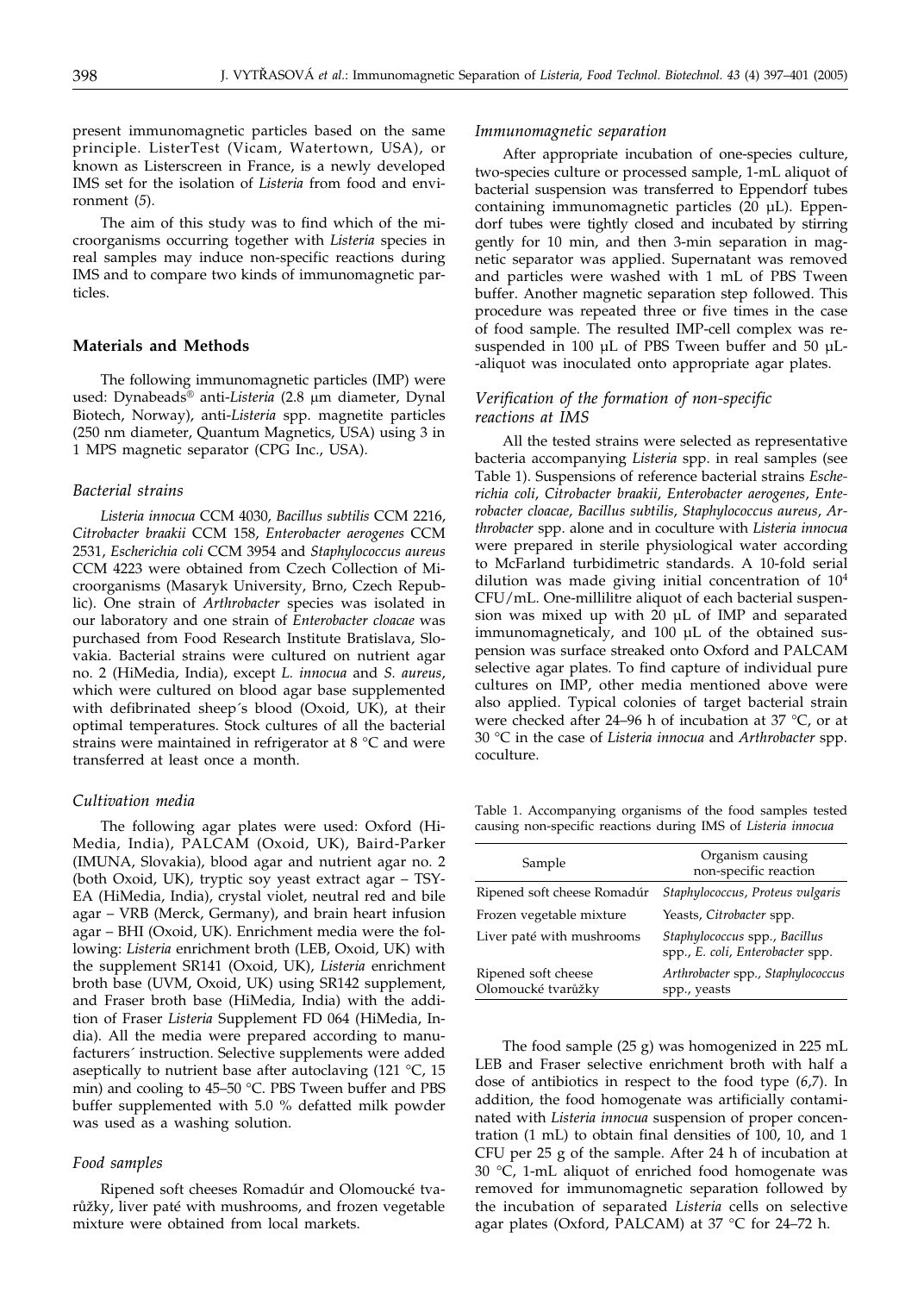present immunomagnetic particles based on the same principle. ListerTest (Vicam, Watertown, USA), or known as Listerscreen in France, is a newly developed IMS set for the isolation of *Listeria* from food and environment (*5*).

The aim of this study was to find which of the microorganisms occurring together with *Listeria* species in real samples may induce non-specific reactions during IMS and to compare two kinds of immunomagnetic particles.

# **Materials and Methods**

The following immunomagnetic particles (IMP) were used: Dynabeads<sup>®</sup> anti-*Listeria* (2.8 µm diameter, Dynal Biotech, Norway), anti-*Listeria* spp. magnetite particles (250 nm diameter, Quantum Magnetics, USA) using 3 in 1 MPS magnetic separator (CPG Inc., USA).

#### *Bacterial strains*

*Listeria innocua* CCM 4030, *Bacillus subtilis* CCM 2216, *Citrobacter braakii* CCM 158, *Enterobacter aerogenes* CCM 2531, *Escherichia coli* CCM 3954 and *Staphylococcus aureus* CCM 4223 were obtained from Czech Collection of Microorganisms (Masaryk University, Brno, Czech Republic). One strain of *Arthrobacter* species was isolated in our laboratory and one strain of *Enterobacter cloacae* was purchased from Food Research Institute Bratislava, Slovakia. Bacterial strains were cultured on nutrient agar no. 2 (HiMedia, India), except *L. innocua* and *S. aureus*, which were cultured on blood agar base supplemented with defibrinated sheep´s blood (Oxoid, UK), at their optimal temperatures. Stock cultures of all the bacterial strains were maintained in refrigerator at 8 °C and were transferred at least once a month.

#### *Cultivation media*

The following agar plates were used: Oxford (Hi-Media, India), PALCAM (Oxoid, UK), Baird-Parker (IMUNA, Slovakia), blood agar and nutrient agar no. 2 (both Oxoid, UK), tryptic soy yeast extract agar – TSY-EA (HiMedia, India), crystal violet, neutral red and bile agar – VRB (Merck, Germany), and brain heart infusion agar – BHI (Oxoid, UK). Enrichment media were the following: *Listeria* enrichment broth (LEB, Oxoid, UK) with the supplement SR141 (Oxoid, UK), *Listeria* enrichment broth base (UVM, Oxoid, UK) using SR142 supplement, and Fraser broth base (HiMedia, India) with the addition of Fraser *Listeria* Supplement FD 064 (HiMedia, India). All the media were prepared according to manufacturers´ instruction. Selective supplements were added aseptically to nutrient base after autoclaving  $(121 \text{ °C}, 15)$ min) and cooling to 45–50 °C. PBS Tween buffer and PBS buffer supplemented with 5.0 % defatted milk powder was used as a washing solution.

# *Food samples*

Ripened soft cheeses Romadúr and Olomoucké tvarůžky, liver paté with mushrooms, and frozen vegetable mixture were obtained from local markets.

#### *Immunomagnetic separation*

After appropriate incubation of one-species culture, two-species culture or processed sample, 1-mL aliquot of bacterial suspension was transferred to Eppendorf tubes containing immunomagnetic particles (20 µL). Eppendorf tubes were tightly closed and incubated by stirring gently for 10 min, and then 3-min separation in magnetic separator was applied. Supernatant was removed and particles were washed with 1 mL of PBS Tween buffer. Another magnetic separation step followed. This procedure was repeated three or five times in the case of food sample. The resulted IMP-cell complex was resuspended in 100 µL of PBS Tween buffer and 50 µL--aliquot was inoculated onto appropriate agar plates.

# *Verification of the formation of non-specific reactions at IMS*

All the tested strains were selected as representative bacteria accompanying *Listeria* spp. in real samples (see Table 1). Suspensions of reference bacterial strains *Escherichia coli*, *Citrobacter braakii*, *Enterobacter aerogenes*, *Enterobacter cloacae*, *Bacillus subtilis*, *Staphylococcus aureus*, *Arthrobacter* spp. alone and in coculture with *Listeria innocua* were prepared in sterile physiological water according to McFarland turbidimetric standards. A 10-fold serial dilution was made giving initial concentration of  $10<sup>4</sup>$ CFU/mL. One-millilitre aliquot of each bacterial suspension was mixed up with 20 µL of IMP and separated immunomagneticaly, and 100 µL of the obtained suspension was surface streaked onto Oxford and PALCAM selective agar plates. To find capture of individual pure cultures on IMP, other media mentioned above were also applied. Typical colonies of target bacterial strain were checked after 24–96 h of incubation at 37 °C, or at 30 °C in the case of *Listeria innocua* and *Arthrobacter* spp. coculture.

Table 1. Accompanying organisms of the food samples tested causing non-specific reactions during IMS of *Listeria innocua*

| Sample                                    | Organism causing<br>non-specific reaction                         |
|-------------------------------------------|-------------------------------------------------------------------|
| Ripened soft cheese Romadúr               | Staphylococcus, Proteus vulgaris                                  |
| Frozen vegetable mixture                  | Yeasts, Citrobacter spp.                                          |
| Liver paté with mushrooms                 | Staphylococcus spp., Bacillus<br>spp., E. coli, Enterobacter spp. |
| Ripened soft cheese<br>Olomoucké tvarůžky | Arthrobacter spp., Staphylococcus<br>spp., yeasts                 |

The food sample (25 g) was homogenized in 225 mL LEB and Fraser selective enrichment broth with half a dose of antibiotics in respect to the food type (*6*,*7*). In addition, the food homogenate was artificially contaminated with *Listeria innocua* suspension of proper concentration (1 mL) to obtain final densities of 100, 10, and 1 CFU per 25 g of the sample. After 24 h of incubation at 30 °C, 1-mL aliquot of enriched food homogenate was removed for immunomagnetic separation followed by the incubation of separated *Listeria* cells on selective agar plates (Oxford, PALCAM) at 37 °C for 24–72 h.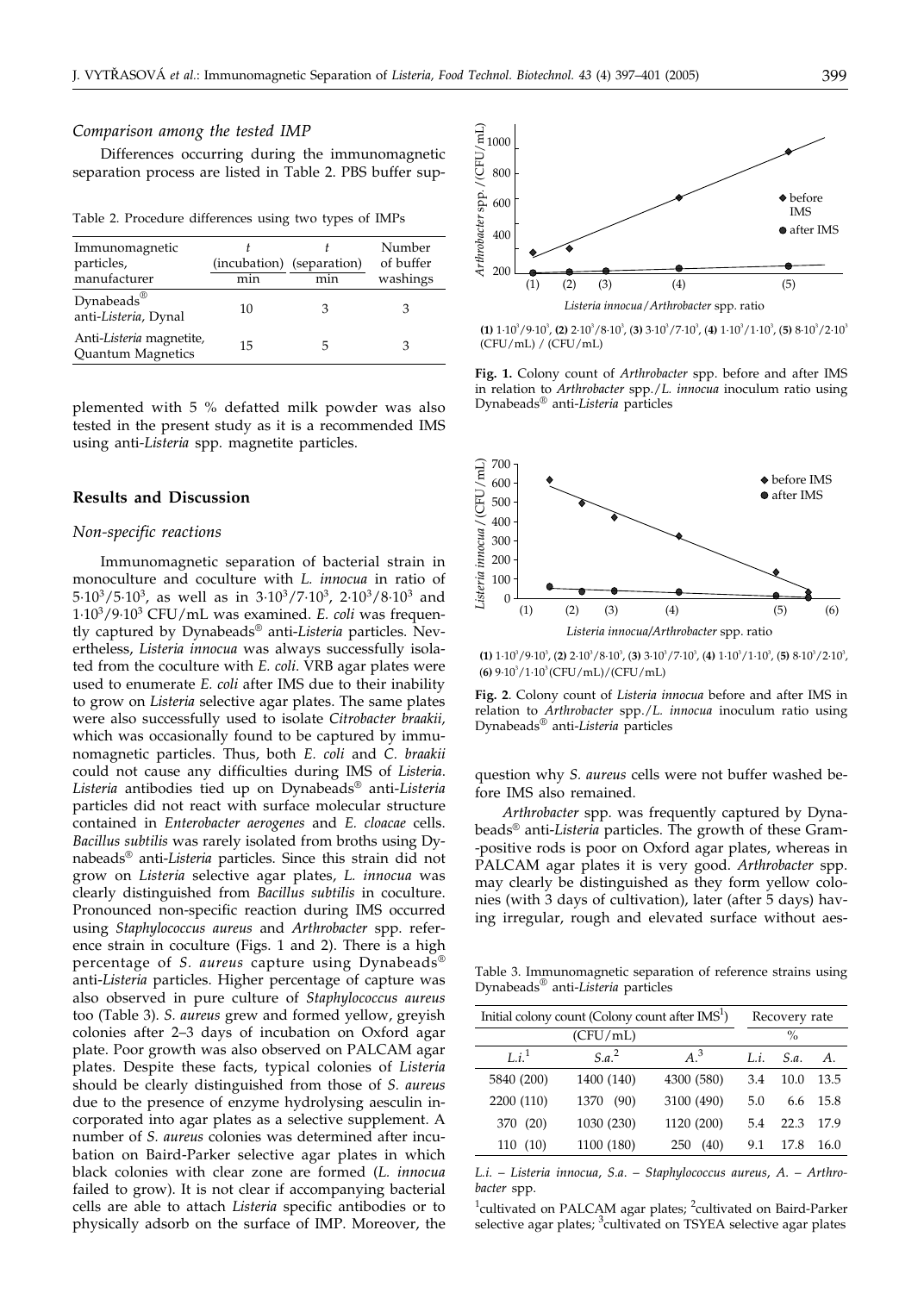#### *Comparison among the tested IMP*

Differences occurring during the immunomagnetic separation process are listed in Table 2. PBS buffer sup-

Table 2. Procedure differences using two types of IMPs

| Immunomagnetic<br>particles,<br>manufacturer   | min | (incubation) (separation)<br>min | Number<br>of buffer<br>washings |
|------------------------------------------------|-----|----------------------------------|---------------------------------|
| Dynabeads <sup>®</sup><br>anti-Listeria, Dynal | 10  |                                  |                                 |
| Anti-Listeria magnetite,<br>Quantum Magnetics  | 15  |                                  |                                 |

plemented with 5 % defatted milk powder was also tested in the present study as it is a recommended IMS using anti*-Listeria* spp. magnetite particles.

#### **Results and Discussion**

## *Non-specific reactions*

Immunomagnetic separation of bacterial strain in monoculture and coculture with *L. innocua* in ratio of 5·103/5·103, as well as in 3·103/7·103, 2·103/8·103 and 1·103/9·103 CFU/mL was examined. *E. coli* was frequently captured by Dynabeads® anti-*Listeria* particles. Nevertheless, *Listeria innocua* was always successfully isolated from the coculture with *E. coli*. VRB agar plates were used to enumerate *E. coli* after IMS due to their inability to grow on *Listeria* selective agar plates. The same plates were also successfully used to isolate *Citrobacter braakii,* which was occasionally found to be captured by immunomagnetic particles. Thus, both *E. coli* and *C. braakii* could not cause any difficulties during IMS of *Listeria*. *Listeria* antibodies tied up on Dynabeads® anti-*Listeria* particles did not react with surface molecular structure contained in *Enterobacter aerogenes* and *E. cloacae* cells. *Bacillus subtilis* was rarely isolated from broths using Dynabeads® anti-*Listeria* particles. Since this strain did not grow on *Listeria* selective agar plates, *L. innocua* was clearly distinguished from *Bacillus subtilis* in coculture. Pronounced non-specific reaction during IMS occurred using *Staphylococcus aureus* and *Arthrobacter* spp. reference strain in coculture (Figs. 1 and 2). There is a high percentage of *S. aureus* capture using Dynabeads® anti-*Listeria* particles. Higher percentage of capture was also observed in pure culture of *Staphylococcus aureus* too (Table 3). *S. aureus* grew and formed yellow, greyish colonies after 2–3 days of incubation on Oxford agar plate. Poor growth was also observed on PALCAM agar plates. Despite these facts, typical colonies of *Listeria* should be clearly distinguished from those of *S. aureus* due to the presence of enzyme hydrolysing aesculin incorporated into agar plates as a selective supplement. A number of *S. aureus* colonies was determined after incubation on Baird-Parker selective agar plates in which black colonies with clear zone are formed (*L. innocua* failed to grow). It is not clear if accompanying bacterial cells are able to attach *Listeria* specific antibodies or to physically adsorb on the surface of IMP. Moreover, the



**(1)**  $1 \cdot 10^3 / 9 \cdot 10^3$ , **(2)**  $2 \cdot 10^3 / 8 \cdot 10^3$ , **(3)**  $3 \cdot 10^3 / 7 \cdot 10^3$ , **(4)**  $1 \cdot 10^3 / 1 \cdot 10^3$ , **(5)**  $8 \cdot 10^3 / 2 \cdot 10^3$ (CFU/mL) / (CFU/mL)

**Fig. 1.** Colony count of *Arthrobacter* spp. before and after IMS in relation to *Arthrobacter* spp./*L. innocua* inoculum ratio using Dynabeads® anti-*Listeria* particles



**(1)**  $1 \cdot 10^{3} / 9 \cdot 10^{3}$ , **(2)**  $2 \cdot 10^{3} / 8 \cdot 10^{3}$ , **(3)**  $3 \cdot 10^{3} / 7 \cdot 10^{3}$ , **(4)**  $1 \cdot 10^{3} / 1 \cdot 10^{3}$ , **(5)**  $8 \cdot 10^{3} / 2 \cdot 10^{3}$ , (6)  $9.10^3/1.10^3$  (CFU/mL)/(CFU/mL)

**Fig. 2**. Colony count of *Listeria innocua* before and after IMS in relation to *Arthrobacter* spp./*L. innocua* inoculum ratio using Dynabeads® anti-*Listeria* particles

question why *S. aureus* cells were not buffer washed before IMS also remained.

*Arthrobacter* spp. was frequently captured by Dynabeads® anti-*Listeria* particles. The growth of these Gram- -positive rods is poor on Oxford agar plates, whereas in PALCAM agar plates it is very good. *Arthrobacter* spp. may clearly be distinguished as they form yellow colonies (with 3 days of cultivation), later (after 5 days) having irregular, rough and elevated surface without aes-

Table 3. Immunomagnetic separation of reference strains using Dynabeads® anti-*Listeria* particles

| Initial colony count (Colony count after IMS <sup>1</sup> ) |                   | Recovery rate |     |               |      |
|-------------------------------------------------------------|-------------------|---------------|-----|---------------|------|
|                                                             | (CFU/mL)          |               |     | $\frac{0}{0}$ |      |
| Li <sup>1</sup>                                             | S.a. <sup>2</sup> | $A^3$         | Li. | S.a.          | A.   |
| 5840 (200)                                                  | 1400 (140)        | 4300 (580)    | 3.4 | 10.0          | 13.5 |
| 2200 (110)                                                  | (90)<br>1370      | 3100 (490)    | 5.0 | 6.6           | 15.8 |
| 370 (20)                                                    | 1030 (230)        | 1120 (200)    | 5.4 | 22.3          | 17.9 |
| 110(10)                                                     | 1100 (180)        | (40)<br>250   | 9.1 | 17.8          | 16.0 |

*L.i*. – *Listeria innocua*, *S.a*. – *Staphylococcus aureus*, *A*. – *Arthrobacter* spp.

<sup>1</sup>cultivated on PALCAM agar plates; <sup>2</sup>cultivated on Baird-Parker selective agar plates; <sup>3</sup>cultivated on TSYEA selective agar plates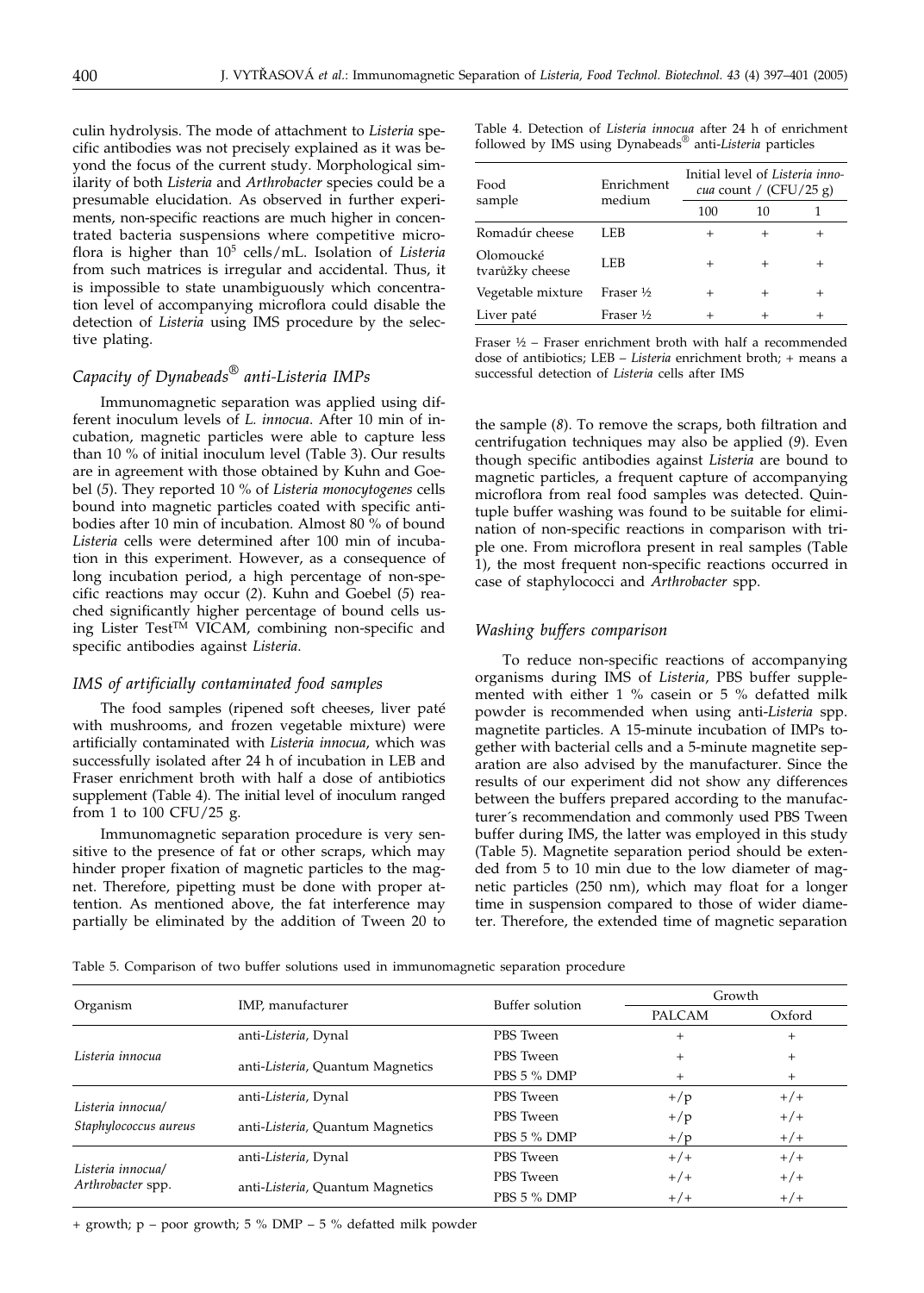culin hydrolysis. The mode of attachment to *Listeria* specific antibodies was not precisely explained as it was beyond the focus of the current study. Morphological similarity of both *Listeria* and *Arthrobacter* species could be a presumable elucidation. As observed in further experiments, non-specific reactions are much higher in concentrated bacteria suspensions where competitive microflora is higher than 105 cells/mL. Isolation of *Listeria* from such matrices is irregular and accidental. Thus, it is impossible to state unambiguously which concentration level of accompanying microflora could disable the detection of *Listeria* using IMS procedure by the selective plating.

# *Capacity of Dynabeads® anti-Listeria IMPs*

Immunomagnetic separation was applied using different inoculum levels of *L. innocua*. After 10 min of incubation, magnetic particles were able to capture less than 10 % of initial inoculum level (Table 3). Our results are in agreement with those obtained by Kuhn and Goebel (*5*). They reported 10 % of *Listeria monocytogenes* cells bound into magnetic particles coated with specific antibodies after 10 min of incubation. Almost 80 % of bound *Listeria* cells were determined after 100 min of incubation in this experiment. However, as a consequence of long incubation period, a high percentage of non-specific reactions may occur (*2*). Kuhn and Goebel (*5*) reached significantly higher percentage of bound cells using Lister Test™ VICAM, combining non-specific and specific antibodies against *Listeria*.

#### *IMS of artificially contaminated food samples*

The food samples (ripened soft cheeses, liver paté with mushrooms, and frozen vegetable mixture) were artificially contaminated with *Listeria innocua*, which was successfully isolated after 24 h of incubation in LEB and Fraser enrichment broth with half a dose of antibiotics supplement (Table 4). The initial level of inoculum ranged from 1 to 100 CFU/25 g.

Immunomagnetic separation procedure is very sensitive to the presence of fat or other scraps, which may hinder proper fixation of magnetic particles to the magnet. Therefore, pipetting must be done with proper attention. As mentioned above, the fat interference may partially be eliminated by the addition of Tween 20 to Table 4. Detection of *Listeria innocua* after 24 h of enrichment followed by IMS using Dynabeads® anti-*Listeria* particles

| Enrichment<br>medium | Initial level of Listeria inno-<br><i>cua</i> count / $(CFU/25 g)$ |        |        |
|----------------------|--------------------------------------------------------------------|--------|--------|
|                      | 100                                                                | 10     |        |
| LEB                  | $^+$                                                               | $\pm$  |        |
| LEB                  | $^{+}$                                                             | $^{+}$ | $^{+}$ |
| Fraser $\frac{1}{2}$ |                                                                    | $^{+}$ |        |
| Fraser $\frac{1}{2}$ |                                                                    |        |        |
|                      |                                                                    |        |        |

Fraser ½ – Fraser enrichment broth with half a recommended dose of antibiotics; LEB – *Listeria* enrichment broth; + means a successful detection of *Listeria* cells after IMS

the sample (*8*). To remove the scraps, both filtration and centrifugation techniques may also be applied (*9*). Even though specific antibodies against *Listeria* are bound to magnetic particles, a frequent capture of accompanying microflora from real food samples was detected. Quintuple buffer washing was found to be suitable for elimination of non-specific reactions in comparison with triple one. From microflora present in real samples (Table 1), the most frequent non-specific reactions occurred in case of staphylococci and *Arthrobacter* spp.

# *Washing buffers comparison*

To reduce non-specific reactions of accompanying organisms during IMS of *Listeria*, PBS buffer supplemented with either 1 % casein or 5 % defatted milk powder is recommended when using anti-*Listeria* spp. magnetite particles. A 15-minute incubation of IMPs together with bacterial cells and a 5-minute magnetite separation are also advised by the manufacturer. Since the results of our experiment did not show any differences between the buffers prepared according to the manufacturer´s recommendation and commonly used PBS Tween buffer during IMS, the latter was employed in this study (Table 5). Magnetite separation period should be extended from 5 to 10 min due to the low diameter of magnetic particles (250 nm), which may float for a longer time in suspension compared to those of wider diameter. Therefore, the extended time of magnetic separation

Table 5. Comparison of two buffer solutions used in immunomagnetic separation procedure

| Organism                                   | IMP, manufacturer                | Buffer solution | Growth |        |
|--------------------------------------------|----------------------------------|-----------------|--------|--------|
|                                            |                                  |                 | PALCAM | Oxford |
| Listeria innocua                           | anti-Listeria, Dynal             | PBS Tween       | $^{+}$ | $^{+}$ |
|                                            | anti-Listeria, Quantum Magnetics | PBS Tween       | $+$    | $^{+}$ |
|                                            |                                  | PBS 5 % DMP     | $^{+}$ | $^{+}$ |
| Listeria innocual<br>Staphylococcus aureus | anti-Listeria, Dynal             | PBS Tween       | $+/p$  | $+/+$  |
|                                            | anti-Listeria, Quantum Magnetics | PBS Tween       | $+/p$  | $+/+$  |
|                                            |                                  | PBS 5 % DMP     | $+/p$  | $+/+$  |
| Listeria innocual<br>Arthrobacter spp.     | anti-Listeria, Dynal             | PBS Tween       | $+/+$  | $+/+$  |
|                                            | anti-Listeria, Quantum Magnetics | PBS Tween       | $+/+$  | $+/+$  |
|                                            |                                  | PBS 5 % DMP     | $+/+$  | $+/+$  |

+ growth; p – poor growth; 5 % DMP – 5 % defatted milk powder